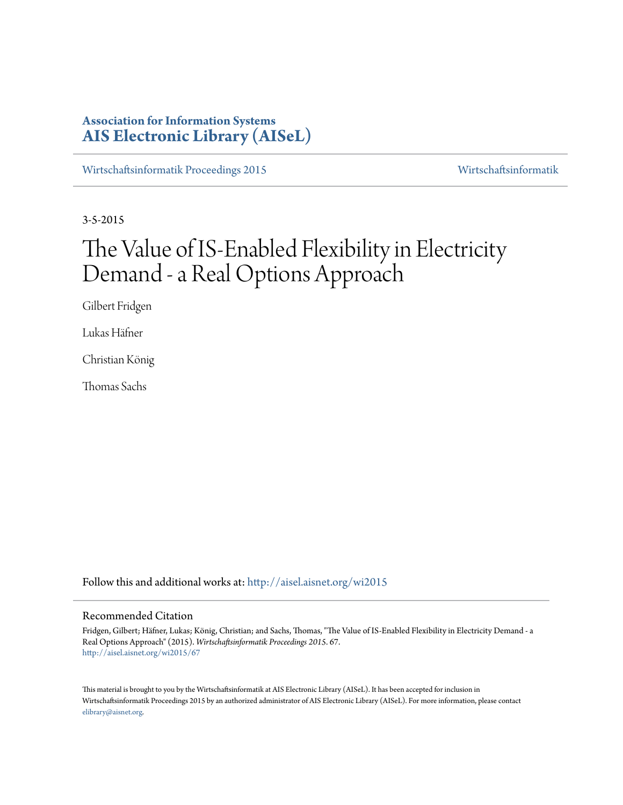# **Association for Information Systems [AIS Electronic Library \(AISeL\)](http://aisel.aisnet.org?utm_source=aisel.aisnet.org%2Fwi2015%2F67&utm_medium=PDF&utm_campaign=PDFCoverPages)**

[Wirtschaftsinformatik Proceedings 2015](http://aisel.aisnet.org/wi2015?utm_source=aisel.aisnet.org%2Fwi2015%2F67&utm_medium=PDF&utm_campaign=PDFCoverPages) [Wirtschaftsinformatik](http://aisel.aisnet.org/wi?utm_source=aisel.aisnet.org%2Fwi2015%2F67&utm_medium=PDF&utm_campaign=PDFCoverPages)

3-5-2015

# The Value of IS-Enabled Flexibility in Electricity Demand - a Real Options Approach

Gilbert Fridgen

Lukas Häfner

Christian König

Thomas Sachs

Follow this and additional works at: [http://aisel.aisnet.org/wi2015](http://aisel.aisnet.org/wi2015?utm_source=aisel.aisnet.org%2Fwi2015%2F67&utm_medium=PDF&utm_campaign=PDFCoverPages)

#### Recommended Citation

Fridgen, Gilbert; Häfner, Lukas; König, Christian; and Sachs, Thomas, "The Value of IS-Enabled Flexibility in Electricity Demand - a Real Options Approach" (2015). *Wirtschaftsinformatik Proceedings 2015*. 67. [http://aisel.aisnet.org/wi2015/67](http://aisel.aisnet.org/wi2015/67?utm_source=aisel.aisnet.org%2Fwi2015%2F67&utm_medium=PDF&utm_campaign=PDFCoverPages)

This material is brought to you by the Wirtschaftsinformatik at AIS Electronic Library (AISeL). It has been accepted for inclusion in Wirtschaftsinformatik Proceedings 2015 by an authorized administrator of AIS Electronic Library (AISeL). For more information, please contact [elibrary@aisnet.org.](mailto:elibrary@aisnet.org%3E)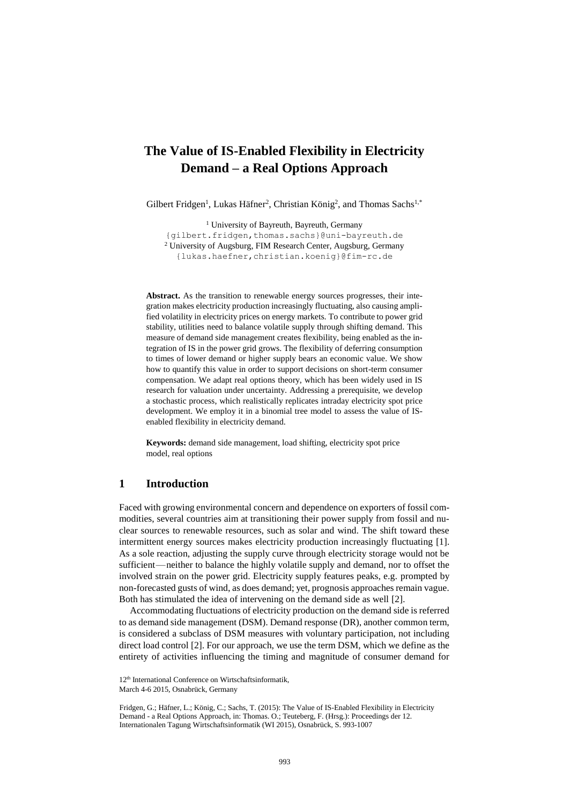# **The Value of IS-Enabled Flexibility in Electricity Demand – a Real Options Approach**

Gilbert Fridgen<sup>1</sup>, Lukas Häfner<sup>2</sup>, Christian König<sup>2</sup>, and Thomas Sachs<sup>1,\*</sup>

<sup>1</sup> University of Bayreuth, Bayreuth, Germany {gilbert.fridgen,thomas.sachs}@uni-bayreuth.de <sup>2</sup> University of Augsburg, FIM Research Center, Augsburg, Germany {lukas.haefner,christian.koenig}@fim-rc.de

**Abstract.** As the transition to renewable energy sources progresses, their integration makes electricity production increasingly fluctuating, also causing amplified volatility in electricity prices on energy markets. To contribute to power grid stability, utilities need to balance volatile supply through shifting demand. This measure of demand side management creates flexibility, being enabled as the integration of IS in the power grid grows. The flexibility of deferring consumption to times of lower demand or higher supply bears an economic value. We show how to quantify this value in order to support decisions on short-term consumer compensation. We adapt real options theory, which has been widely used in IS research for valuation under uncertainty. Addressing a prerequisite, we develop a stochastic process, which realistically replicates intraday electricity spot price development. We employ it in a binomial tree model to assess the value of ISenabled flexibility in electricity demand.

**Keywords:** demand side management, load shifting, electricity spot price model, real options

## **1 Introduction**

Faced with growing environmental concern and dependence on exporters of fossil commodities, several countries aim at transitioning their power supply from fossil and nuclear sources to renewable resources, such as solar and wind. The shift toward these intermittent energy sources makes electricity production increasingly fluctuating [1]. As a sole reaction, adjusting the supply curve through electricity storage would not be sufficient—neither to balance the highly volatile supply and demand, nor to offset the involved strain on the power grid. Electricity supply features peaks, e.g. prompted by non-forecasted gusts of wind, as does demand; yet, prognosis approaches remain vague. Both has stimulated the idea of intervening on the demand side as well [2].

Accommodating fluctuations of electricity production on the demand side is referred to as demand side management (DSM). Demand response (DR), another common term, is considered a subclass of DSM measures with voluntary participation, not including direct load control [2]. For our approach, we use the term DSM, which we define as the entirety of activities influencing the timing and magnitude of consumer demand for

<sup>12&</sup>lt;sup>th</sup> International Conference on Wirtschaftsinformatik,

March 4-6 2015, Osnabrück, Germany

Fridgen, G.; Häfner, L.; König, C.; Sachs, T. (2015): The Value of IS-Enabled Flexibility in Electricity Demand - a Real Options Approach, in: Thomas. O.; Teuteberg, F. (Hrsg.): Proceedings der 12. Internationalen Tagung Wirtschaftsinformatik (WI 2015), Osnabrück, S. 993-1007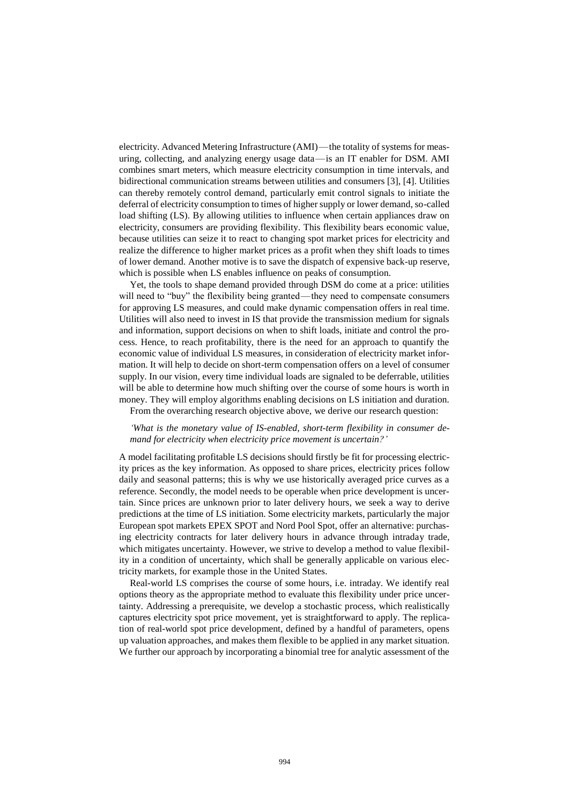electricity. Advanced Metering Infrastructure (AMI)—the totality of systems for measuring, collecting, and analyzing energy usage data—is an IT enabler for DSM. AMI combines smart meters, which measure electricity consumption in time intervals, and bidirectional communication streams between utilities and consumers [3], [4]. Utilities can thereby remotely control demand, particularly emit control signals to initiate the deferral of electricity consumption to times of higher supply or lower demand, so-called load shifting (LS). By allowing utilities to influence when certain appliances draw on electricity, consumers are providing flexibility. This flexibility bears economic value, because utilities can seize it to react to changing spot market prices for electricity and realize the difference to higher market prices as a profit when they shift loads to times of lower demand. Another motive is to save the dispatch of expensive back-up reserve, which is possible when LS enables influence on peaks of consumption.

Yet, the tools to shape demand provided through DSM do come at a price: utilities will need to "buy" the flexibility being granted—they need to compensate consumers for approving LS measures, and could make dynamic compensation offers in real time. Utilities will also need to invest in IS that provide the transmission medium for signals and information, support decisions on when to shift loads, initiate and control the process. Hence, to reach profitability, there is the need for an approach to quantify the economic value of individual LS measures, in consideration of electricity market information. It will help to decide on short-term compensation offers on a level of consumer supply. In our vision, every time individual loads are signaled to be deferrable, utilities will be able to determine how much shifting over the course of some hours is worth in money. They will employ algorithms enabling decisions on LS initiation and duration. From the overarching research objective above, we derive our research question:

*'What is the monetary value of IS-enabled, short-term flexibility in consumer demand for electricity when electricity price movement is uncertain?'*

A model facilitating profitable LS decisions should firstly be fit for processing electricity prices as the key information. As opposed to share prices, electricity prices follow daily and seasonal patterns; this is why we use historically averaged price curves as a reference. Secondly, the model needs to be operable when price development is uncertain. Since prices are unknown prior to later delivery hours, we seek a way to derive predictions at the time of LS initiation. Some electricity markets, particularly the major European spot markets EPEX SPOT and Nord Pool Spot, offer an alternative: purchasing electricity contracts for later delivery hours in advance through intraday trade, which mitigates uncertainty. However, we strive to develop a method to value flexibility in a condition of uncertainty, which shall be generally applicable on various electricity markets, for example those in the United States.

Real-world LS comprises the course of some hours, i.e. intraday. We identify real options theory as the appropriate method to evaluate this flexibility under price uncertainty. Addressing a prerequisite, we develop a stochastic process, which realistically captures electricity spot price movement, yet is straightforward to apply. The replication of real-world spot price development, defined by a handful of parameters, opens up valuation approaches, and makes them flexible to be applied in any market situation. We further our approach by incorporating a binomial tree for analytic assessment of the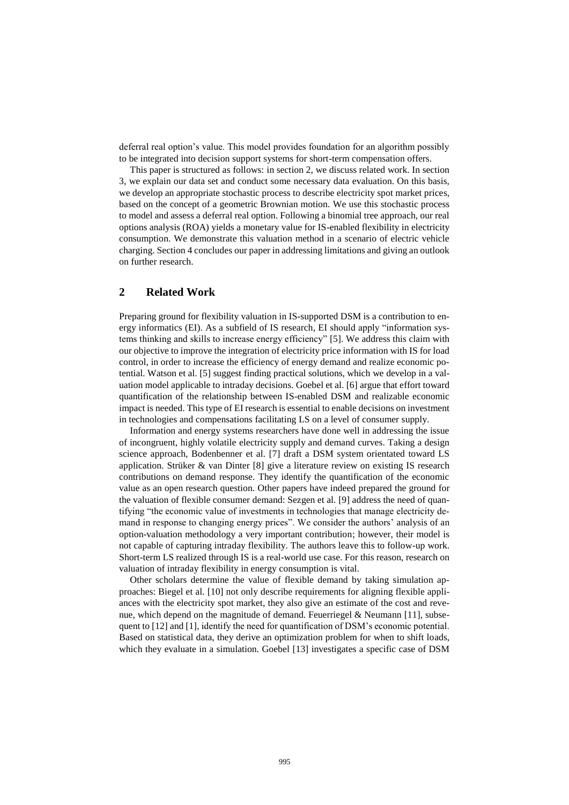deferral real option's value. This model provides foundation for an algorithm possibly to be integrated into decision support systems for short-term compensation offers.

This paper is structured as follows: in section 2, we discuss related work. In section 3, we explain our data set and conduct some necessary data evaluation. On this basis, we develop an appropriate stochastic process to describe electricity spot market prices, based on the concept of a geometric Brownian motion. We use this stochastic process to model and assess a deferral real option. Following a binomial tree approach, our real options analysis (ROA) yields a monetary value for IS-enabled flexibility in electricity consumption. We demonstrate this valuation method in a scenario of electric vehicle charging. Section 4 concludes our paper in addressing limitations and giving an outlook on further research.

# **2 Related Work**

Preparing ground for flexibility valuation in IS-supported DSM is a contribution to energy informatics (EI). As a subfield of IS research, EI should apply "information systems thinking and skills to increase energy efficiency" [5]. We address this claim with our objective to improve the integration of electricity price information with IS for load control, in order to increase the efficiency of energy demand and realize economic potential. Watson et al. [5] suggest finding practical solutions, which we develop in a valuation model applicable to intraday decisions. Goebel et al. [6] argue that effort toward quantification of the relationship between IS-enabled DSM and realizable economic impact is needed. This type of EI research is essential to enable decisions on investment in technologies and compensations facilitating LS on a level of consumer supply.

Information and energy systems researchers have done well in addressing the issue of incongruent, highly volatile electricity supply and demand curves. Taking a design science approach, Bodenbenner et al. [7] draft a DSM system orientated toward LS application. Strüker & van Dinter [8] give a literature review on existing IS research contributions on demand response. They identify the quantification of the economic value as an open research question. Other papers have indeed prepared the ground for the valuation of flexible consumer demand: Sezgen et al. [9] address the need of quantifying "the economic value of investments in technologies that manage electricity demand in response to changing energy prices". We consider the authors' analysis of an option-valuation methodology a very important contribution; however, their model is not capable of capturing intraday flexibility. The authors leave this to follow-up work. Short-term LS realized through IS is a real-world use case. For this reason, research on valuation of intraday flexibility in energy consumption is vital.

Other scholars determine the value of flexible demand by taking simulation approaches: Biegel et al. [10] not only describe requirements for aligning flexible appliances with the electricity spot market, they also give an estimate of the cost and revenue, which depend on the magnitude of demand. Feuerriegel  $& Neumann [11]$ , subsequent to [12] and [1], identify the need for quantification of DSM's economic potential. Based on statistical data, they derive an optimization problem for when to shift loads, which they evaluate in a simulation. Goebel [13] investigates a specific case of DSM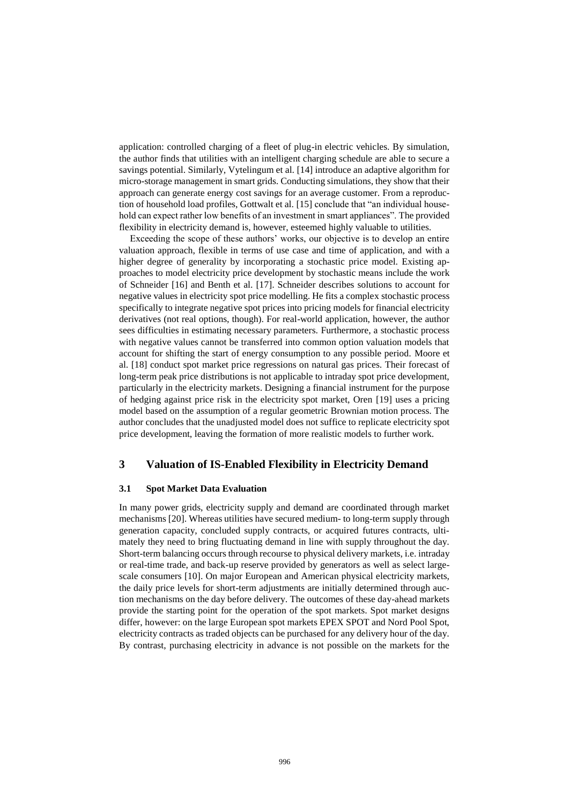application: controlled charging of a fleet of plug-in electric vehicles. By simulation, the author finds that utilities with an intelligent charging schedule are able to secure a savings potential. Similarly, Vytelingum et al. [14] introduce an adaptive algorithm for micro-storage management in smart grids. Conducting simulations, they show that their approach can generate energy cost savings for an average customer. From a reproduction of household load profiles, Gottwalt et al. [15] conclude that "an individual household can expect rather low benefits of an investment in smart appliances". The provided flexibility in electricity demand is, however, esteemed highly valuable to utilities.

Exceeding the scope of these authors' works, our objective is to develop an entire valuation approach, flexible in terms of use case and time of application, and with a higher degree of generality by incorporating a stochastic price model. Existing approaches to model electricity price development by stochastic means include the work of Schneider [16] and Benth et al. [17]. Schneider describes solutions to account for negative values in electricity spot price modelling. He fits a complex stochastic process specifically to integrate negative spot prices into pricing models for financial electricity derivatives (not real options, though). For real-world application, however, the author sees difficulties in estimating necessary parameters. Furthermore, a stochastic process with negative values cannot be transferred into common option valuation models that account for shifting the start of energy consumption to any possible period. Moore et al. [18] conduct spot market price regressions on natural gas prices. Their forecast of long-term peak price distributions is not applicable to intraday spot price development, particularly in the electricity markets. Designing a financial instrument for the purpose of hedging against price risk in the electricity spot market, Oren [19] uses a pricing model based on the assumption of a regular geometric Brownian motion process. The author concludes that the unadjusted model does not suffice to replicate electricity spot price development, leaving the formation of more realistic models to further work.

### **3 Valuation of IS-Enabled Flexibility in Electricity Demand**

#### **3.1 Spot Market Data Evaluation**

In many power grids, electricity supply and demand are coordinated through market mechanisms [20]. Whereas utilities have secured medium- to long-term supply through generation capacity, concluded supply contracts, or acquired futures contracts, ultimately they need to bring fluctuating demand in line with supply throughout the day. Short-term balancing occurs through recourse to physical delivery markets, i.e. intraday or real-time trade, and back-up reserve provided by generators as well as select largescale consumers [10]. On major European and American physical electricity markets, the daily price levels for short-term adjustments are initially determined through auction mechanisms on the day before delivery. The outcomes of these day-ahead markets provide the starting point for the operation of the spot markets. Spot market designs differ, however: on the large European spot markets EPEX SPOT and Nord Pool Spot, electricity contracts as traded objects can be purchased for any delivery hour of the day. By contrast, purchasing electricity in advance is not possible on the markets for the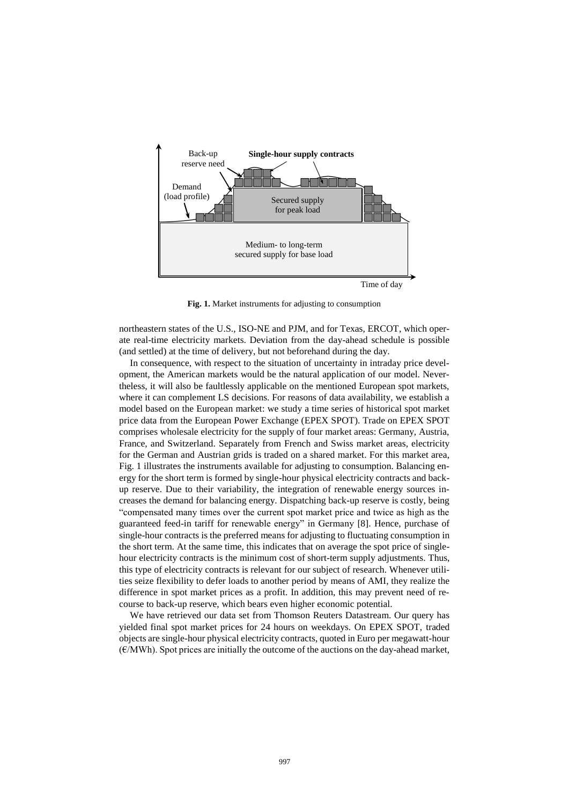

**Fig. 1.** Market instruments for adjusting to consumption

northeastern states of the U.S., ISO-NE and PJM, and for Texas, ERCOT, which operate real-time electricity markets. Deviation from the day-ahead schedule is possible (and settled) at the time of delivery, but not beforehand during the day.

In consequence, with respect to the situation of uncertainty in intraday price development, the American markets would be the natural application of our model. Nevertheless, it will also be faultlessly applicable on the mentioned European spot markets, where it can complement LS decisions. For reasons of data availability, we establish a model based on the European market: we study a time series of historical spot market price data from the European Power Exchange (EPEX SPOT). Trade on EPEX SPOT comprises wholesale electricity for the supply of four market areas: Germany, Austria, France, and Switzerland. Separately from French and Swiss market areas, electricity for the German and Austrian grids is traded on a shared market. For this market area, Fig. 1 illustrates the instruments available for adjusting to consumption. Balancing energy for the short term is formed by single-hour physical electricity contracts and backup reserve. Due to their variability, the integration of renewable energy sources increases the demand for balancing energy. Dispatching back-up reserve is costly, being "compensated many times over the current spot market price and twice as high as the guaranteed feed-in tariff for renewable energy" in Germany [8]. Hence, purchase of single-hour contracts is the preferred means for adjusting to fluctuating consumption in the short term. At the same time, this indicates that on average the spot price of singlehour electricity contracts is the minimum cost of short-term supply adjustments. Thus, this type of electricity contracts is relevant for our subject of research. Whenever utilities seize flexibility to defer loads to another period by means of AMI, they realize the difference in spot market prices as a profit. In addition, this may prevent need of recourse to back-up reserve, which bears even higher economic potential.

We have retrieved our data set from Thomson Reuters Datastream. Our query has yielded final spot market prices for 24 hours on weekdays. On EPEX SPOT, traded objects are single-hour physical electricity contracts, quoted in Euro per megawatt-hour  $(E/MWh)$ . Spot prices are initially the outcome of the auctions on the day-ahead market,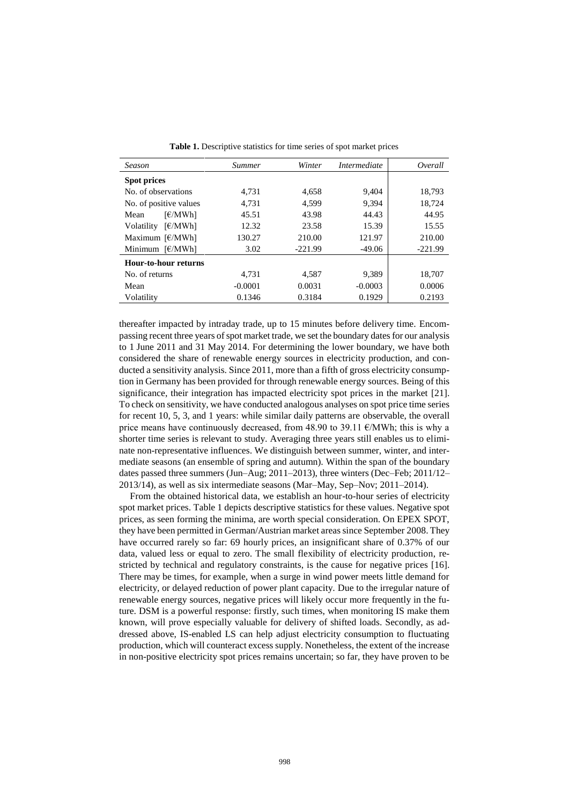| <b>Season</b>                               | <i>Summer</i> | Winter    | Intermediate | Overall   |
|---------------------------------------------|---------------|-----------|--------------|-----------|
| Spot prices                                 |               |           |              |           |
| No. of observations                         | 4.731         | 4,658     | 9,404        | 18,793    |
| No. of positive values                      | 4,731         | 4.599     | 9,394        | 18,724    |
| F/MWh<br>Mean                               | 45.51         | 43.98     | 44.43        | 44.95     |
| F/MWh<br>Volatility                         | 12.32         | 23.58     | 15.39        | 15.55     |
| Maximum $\left[\frac{\epsilon}{MWh}\right]$ | 130.27        | 210.00    | 121.97       | 210.00    |
| Minimum $\left[\frac{\epsilon}{MWh}\right]$ | 3.02          | $-221.99$ | $-49.06$     | $-221.99$ |
| Hour-to-hour returns                        |               |           |              |           |
| No. of returns                              | 4.731         | 4.587     | 9.389        | 18,707    |
| Mean                                        | $-0.0001$     | 0.0031    | $-0.0003$    | 0.0006    |
| Volatility                                  | 0.1346        | 0.3184    | 0.1929       | 0.2193    |

**Table 1.** Descriptive statistics for time series of spot market prices

thereafter impacted by intraday trade, up to 15 minutes before delivery time. Encompassing recent three years of spot market trade, we set the boundary dates for our analysis to 1 June 2011 and 31 May 2014. For determining the lower boundary, we have both considered the share of renewable energy sources in electricity production, and conducted a sensitivity analysis. Since 2011, more than a fifth of gross electricity consumption in Germany has been provided for through renewable energy sources. Being of this significance, their integration has impacted electricity spot prices in the market [21]. To check on sensitivity, we have conducted analogous analyses on spot price time series for recent 10, 5, 3, and 1 years: while similar daily patterns are observable, the overall price means have continuously decreased, from 48.90 to 39.11 €/MWh; this is why a shorter time series is relevant to study. Averaging three years still enables us to eliminate non-representative influences. We distinguish between summer, winter, and intermediate seasons (an ensemble of spring and autumn). Within the span of the boundary dates passed three summers (Jun–Aug; 2011–2013), three winters (Dec–Feb; 2011/12– 2013/14), as well as six intermediate seasons (Mar–May, Sep–Nov; 2011–2014).

From the obtained historical data, we establish an hour-to-hour series of electricity spot market prices. Table 1 depicts descriptive statistics for these values. Negative spot prices, as seen forming the minima, are worth special consideration. On EPEX SPOT, they have been permitted in German/Austrian market areas since September 2008. They have occurred rarely so far: 69 hourly prices, an insignificant share of 0.37% of our data, valued less or equal to zero. The small flexibility of electricity production, restricted by technical and regulatory constraints, is the cause for negative prices [16]. There may be times, for example, when a surge in wind power meets little demand for electricity, or delayed reduction of power plant capacity. Due to the irregular nature of renewable energy sources, negative prices will likely occur more frequently in the future. DSM is a powerful response: firstly, such times, when monitoring IS make them known, will prove especially valuable for delivery of shifted loads. Secondly, as addressed above, IS-enabled LS can help adjust electricity consumption to fluctuating production, which will counteract excess supply. Nonetheless, the extent of the increase in non-positive electricity spot prices remains uncertain; so far, they have proven to be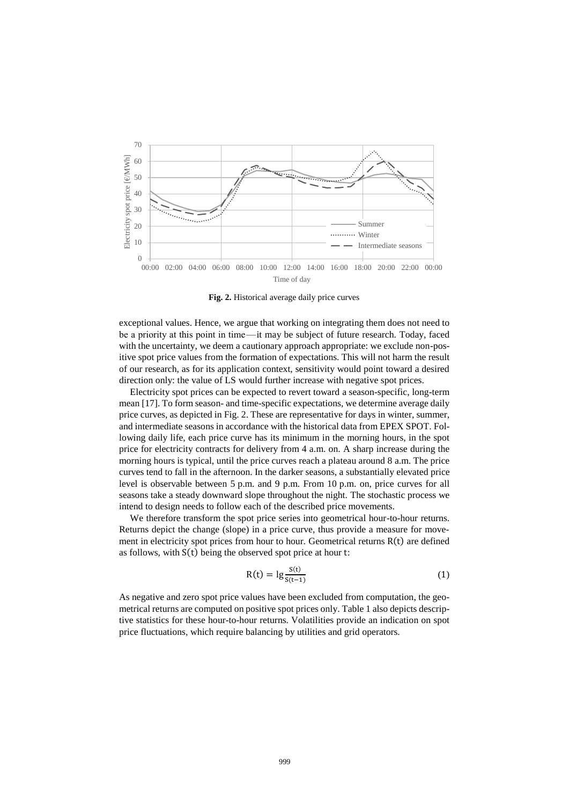

**Fig. 2.** Historical average daily price curves

exceptional values. Hence, we argue that working on integrating them does not need to be a priority at this point in time—it may be subject of future research. Today, faced with the uncertainty, we deem a cautionary approach appropriate: we exclude non-positive spot price values from the formation of expectations. This will not harm the result of our research, as for its application context, sensitivity would point toward a desired direction only: the value of LS would further increase with negative spot prices.

Electricity spot prices can be expected to revert toward a season-specific, long-term mean [17]. To form season- and time-specific expectations, we determine average daily price curves, as depicted in Fig. 2. These are representative for days in winter, summer, and intermediate seasons in accordance with the historical data from EPEX SPOT. Following daily life, each price curve has its minimum in the morning hours, in the spot price for electricity contracts for delivery from 4 a.m. on. A sharp increase during the morning hours is typical, until the price curves reach a plateau around 8 a.m. The price curves tend to fall in the afternoon. In the darker seasons, a substantially elevated price level is observable between 5 p.m. and 9 p.m. From 10 p.m. on, price curves for all seasons take a steady downward slope throughout the night. The stochastic process we intend to design needs to follow each of the described price movements.

We therefore transform the spot price series into geometrical hour-to-hour returns. Returns depict the change (slope) in a price curve, thus provide a measure for movement in electricity spot prices from hour to hour. Geometrical returns  $R(t)$  are defined as follows, with S(t) being the observed spot price at hour t:

$$
R(t) = \lg \frac{S(t)}{S(t-1)}
$$
 (1)

As negative and zero spot price values have been excluded from computation, the geometrical returns are computed on positive spot prices only. Table 1 also depicts descriptive statistics for these hour-to-hour returns. Volatilities provide an indication on spot price fluctuations, which require balancing by utilities and grid operators.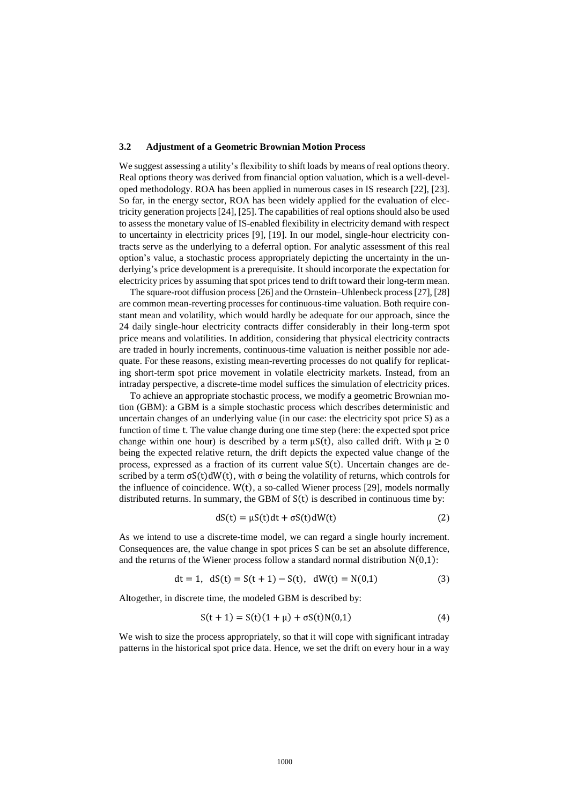#### **3.2 Adjustment of a Geometric Brownian Motion Process**

We suggest assessing a utility's flexibility to shift loads by means of real options theory. Real options theory was derived from financial option valuation, which is a well-developed methodology. ROA has been applied in numerous cases in IS research [22], [23]. So far, in the energy sector, ROA has been widely applied for the evaluation of electricity generation projects [24], [25]. The capabilities of real options should also be used to assess the monetary value of IS-enabled flexibility in electricity demand with respect to uncertainty in electricity prices [9], [19]. In our model, single-hour electricity contracts serve as the underlying to a deferral option. For analytic assessment of this real option's value, a stochastic process appropriately depicting the uncertainty in the underlying's price development is a prerequisite. It should incorporate the expectation for electricity prices by assuming that spot prices tend to drift toward their long-term mean.

The square-root diffusion process [26] and the Ornstein–Uhlenbeck process [27], [28] are common mean-reverting processes for continuous-time valuation. Both require constant mean and volatility, which would hardly be adequate for our approach, since the 24 daily single-hour electricity contracts differ considerably in their long-term spot price means and volatilities. In addition, considering that physical electricity contracts are traded in hourly increments, continuous-time valuation is neither possible nor adequate. For these reasons, existing mean-reverting processes do not qualify for replicating short-term spot price movement in volatile electricity markets. Instead, from an intraday perspective, a discrete-time model suffices the simulation of electricity prices.

To achieve an appropriate stochastic process, we modify a geometric Brownian motion (GBM): a GBM is a simple stochastic process which describes deterministic and uncertain changes of an underlying value (in our case: the electricity spot price S) as a function of time t. The value change during one time step (here: the expected spot price change within one hour) is described by a term  $\mu S(t)$ , also called drift. With  $\mu \ge 0$ being the expected relative return, the drift depicts the expected value change of the process, expressed as a fraction of its current value S(t). Uncertain changes are described by a term  $\sigma S(t) dW(t)$ , with  $\sigma$  being the volatility of returns, which controls for the influence of coincidence.  $W(t)$ , a so-called Wiener process [29], models normally distributed returns. In summary, the GBM of  $S(t)$  is described in continuous time by:

$$
dS(t) = \mu S(t)dt + \sigma S(t)dW(t)
$$
\n(2)

As we intend to use a discrete-time model, we can regard a single hourly increment. Consequences are, the value change in spot prices S can be set an absolute difference, and the returns of the Wiener process follow a standard normal distribution  $N(0,1)$ :

$$
dt = 1, dS(t) = S(t + 1) - S(t), dW(t) = N(0,1)
$$
\n(3)

Altogether, in discrete time, the modeled GBM is described by:

$$
S(t + 1) = S(t)(1 + \mu) + \sigma S(t)N(0,1)
$$
\n(4)

We wish to size the process appropriately, so that it will cope with significant intraday patterns in the historical spot price data. Hence, we set the drift on every hour in a way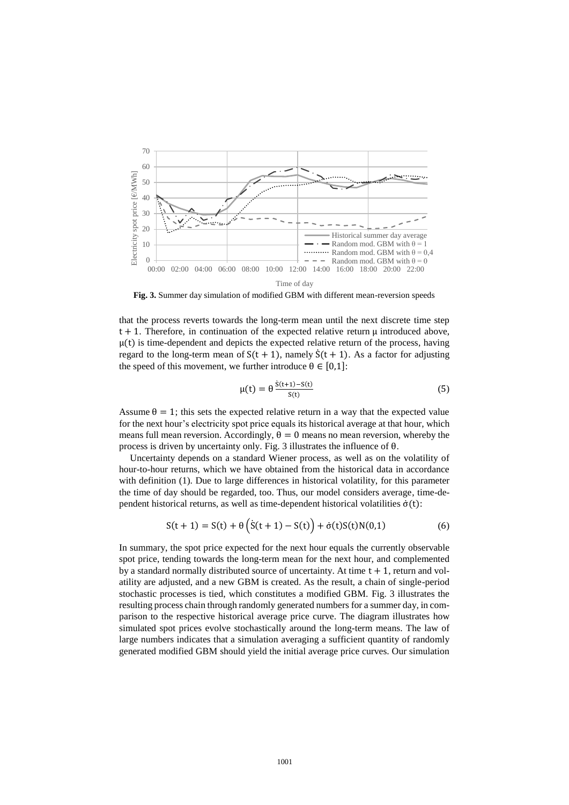

**Fig. 3.** Summer day simulation of modified GBM with different mean-reversion speeds

that the process reverts towards the long-term mean until the next discrete time step  $t + 1$ . Therefore, in continuation of the expected relative return  $\mu$  introduced above,  $\mu(t)$  is time-dependent and depicts the expected relative return of the process, having regard to the long-term mean of  $S(t + 1)$ , namely  $\dot{S}(t + 1)$ . As a factor for adjusting the speed of this movement, we further introduce  $\theta \in [0,1]$ :

$$
\mu(t) = \theta \frac{\dot{s}(t+1) - s(t)}{s(t)}
$$
\n(5)

Assume  $\theta = 1$ ; this sets the expected relative return in a way that the expected value for the next hour's electricity spot price equals its historical average at that hour, which means full mean reversion. Accordingly,  $\theta = 0$  means no mean reversion, whereby the process is driven by uncertainty only. Fig. 3 illustrates the influence of θ.

Uncertainty depends on a standard Wiener process, as well as on the volatility of hour-to-hour returns, which we have obtained from the historical data in accordance with definition (1). Due to large differences in historical volatility, for this parameter the time of day should be regarded, too. Thus, our model considers average, time-dependent historical returns, as well as time-dependent historical volatilities  $\dot{\sigma}(t)$ :

$$
S(t + 1) = S(t) + \theta (S(t + 1) - S(t)) + \dot{\sigma}(t)S(t)N(0,1)
$$
 (6)

In summary, the spot price expected for the next hour equals the currently observable spot price, tending towards the long-term mean for the next hour, and complemented by a standard normally distributed source of uncertainty. At time  $t + 1$ , return and volatility are adjusted, and a new GBM is created. As the result, a chain of single-period stochastic processes is tied, which constitutes a modified GBM. Fig. 3 illustrates the resulting process chain through randomly generated numbers for a summer day, in comparison to the respective historical average price curve. The diagram illustrates how simulated spot prices evolve stochastically around the long-term means. The law of large numbers indicates that a simulation averaging a sufficient quantity of randomly generated modified GBM should yield the initial average price curves. Our simulation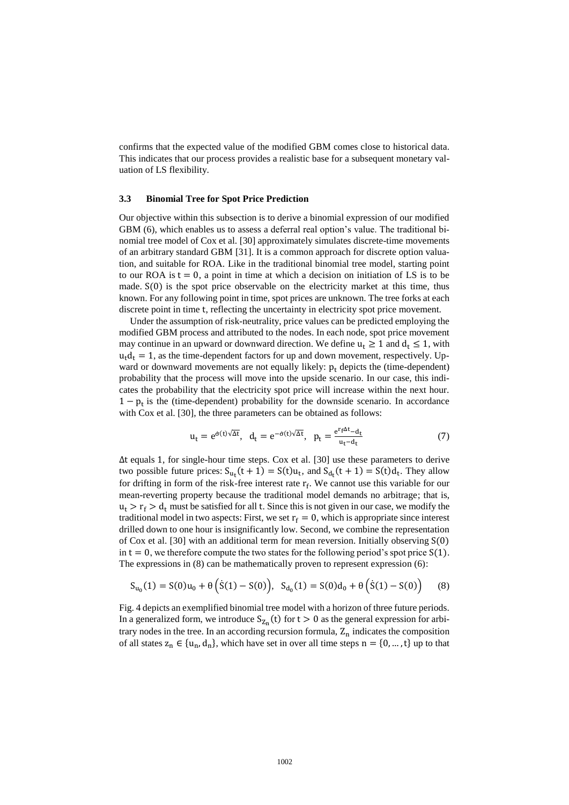confirms that the expected value of the modified GBM comes close to historical data. This indicates that our process provides a realistic base for a subsequent monetary valuation of LS flexibility.

#### **3.3 Binomial Tree for Spot Price Prediction**

Our objective within this subsection is to derive a binomial expression of our modified GBM (6), which enables us to assess a deferral real option's value. The traditional binomial tree model of Cox et al. [30] approximately simulates discrete-time movements of an arbitrary standard GBM [31]. It is a common approach for discrete option valuation, and suitable for ROA. Like in the traditional binomial tree model, starting point to our ROA is  $t = 0$ , a point in time at which a decision on initiation of LS is to be made. S(0) is the spot price observable on the electricity market at this time, thus known. For any following point in time, spot prices are unknown. The tree forks at each discrete point in time t, reflecting the uncertainty in electricity spot price movement.

Under the assumption of risk-neutrality, price values can be predicted employing the modified GBM process and attributed to the nodes. In each node, spot price movement may continue in an upward or downward direction. We define  $u_t \ge 1$  and  $d_t \le 1$ , with  $u_t d_t = 1$ , as the time-dependent factors for up and down movement, respectively. Upward or downward movements are not equally likely:  $p_t$  depicts the (time-dependent) probability that the process will move into the upside scenario. In our case, this indicates the probability that the electricity spot price will increase within the next hour.  $1 - p_t$  is the (time-dependent) probability for the downside scenario. In accordance with Cox et al. [30], the three parameters can be obtained as follows:

$$
u_t = e^{\dot{\sigma}(t)\sqrt{\Delta t}}, \ d_t = e^{-\dot{\sigma}(t)\sqrt{\Delta t}}, \ p_t = \frac{e^{r_f \Delta t} - d_t}{u_t - d_t}
$$
(7)

Δt equals 1, for single-hour time steps. Cox et al. [30] use these parameters to derive two possible future prices:  $S_{u_t}(t + 1) = S(t)u_t$ , and  $S_{d_t}(t + 1) = S(t)d_t$ . They allow for drifting in form of the risk-free interest rate  $r_f$ . We cannot use this variable for our mean-reverting property because the traditional model demands no arbitrage; that is,  $u_t > r_f > d_t$  must be satisfied for all t. Since this is not given in our case, we modify the traditional model in two aspects: First, we set  $r_f = 0$ , which is appropriate since interest drilled down to one hour is insignificantly low. Second, we combine the representation of Cox et al. [30] with an additional term for mean reversion. Initially observing S(0) in  $t = 0$ , we therefore compute the two states for the following period's spot price  $S(1)$ . The expressions in (8) can be mathematically proven to represent expression (6):

$$
S_{u_0}(1) = S(0)u_0 + \theta(\dot{S}(1) - S(0)), \quad S_{d_0}(1) = S(0)d_0 + \theta(\dot{S}(1) - S(0))
$$
 (8)

Fig. 4 depicts an exemplified binomial tree model with a horizon of three future periods. In a generalized form, we introduce  $S_{Z_n}(t)$  for  $t > 0$  as the general expression for arbitrary nodes in the tree. In an according recursion formula,  $Z_n$  indicates the composition of all states  $z_n \in \{u_n, d_n\}$ , which have set in over all time steps  $n = \{0, ..., t\}$  up to that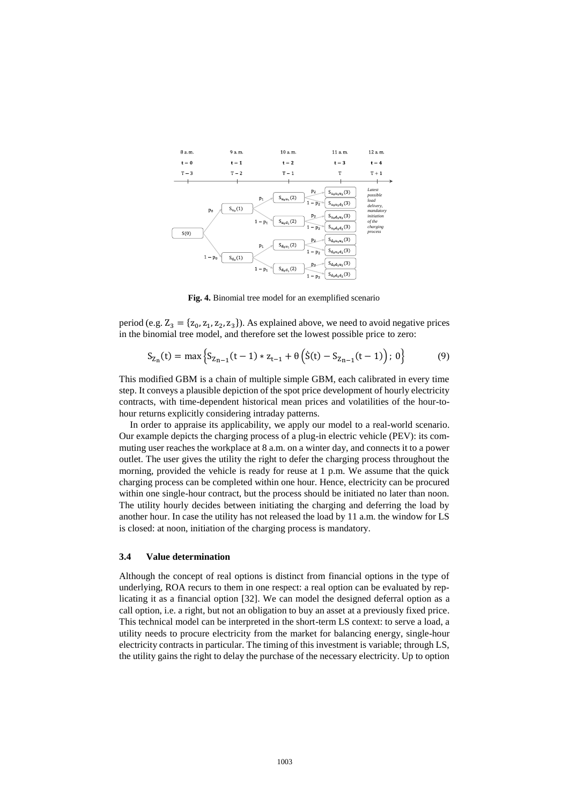

**Fig. 4.** Binomial tree model for an exemplified scenario

period (e.g.  $Z_3 = \{z_0, z_1, z_2, z_3\}$ ). As explained above, we need to avoid negative prices in the binomial tree model, and therefore set the lowest possible price to zero:

$$
S_{Z_n}(t) = \max \left\{ S_{Z_{n-1}}(t-1) * z_{t-1} + \theta \left( \dot{S}(t) - S_{Z_{n-1}}(t-1) \right); 0 \right\}
$$
(9)

This modified GBM is a chain of multiple simple GBM, each calibrated in every time step. It conveys a plausible depiction of the spot price development of hourly electricity contracts, with time-dependent historical mean prices and volatilities of the hour-tohour returns explicitly considering intraday patterns.

In order to appraise its applicability, we apply our model to a real-world scenario. Our example depicts the charging process of a plug-in electric vehicle (PEV): its commuting user reaches the workplace at 8 a.m. on a winter day, and connects it to a power outlet. The user gives the utility the right to defer the charging process throughout the morning, provided the vehicle is ready for reuse at 1 p.m. We assume that the quick charging process can be completed within one hour. Hence, electricity can be procured within one single-hour contract, but the process should be initiated no later than noon. The utility hourly decides between initiating the charging and deferring the load by another hour. In case the utility has not released the load by 11 a.m. the window for LS is closed: at noon, initiation of the charging process is mandatory.

#### **3.4 Value determination**

Although the concept of real options is distinct from financial options in the type of underlying, ROA recurs to them in one respect: a real option can be evaluated by replicating it as a financial option [32]. We can model the designed deferral option as a call option, i.e. a right, but not an obligation to buy an asset at a previously fixed price. This technical model can be interpreted in the short-term LS context: to serve a load, a utility needs to procure electricity from the market for balancing energy, single-hour electricity contracts in particular. The timing of this investment is variable; through LS, the utility gains the right to delay the purchase of the necessary electricity. Up to option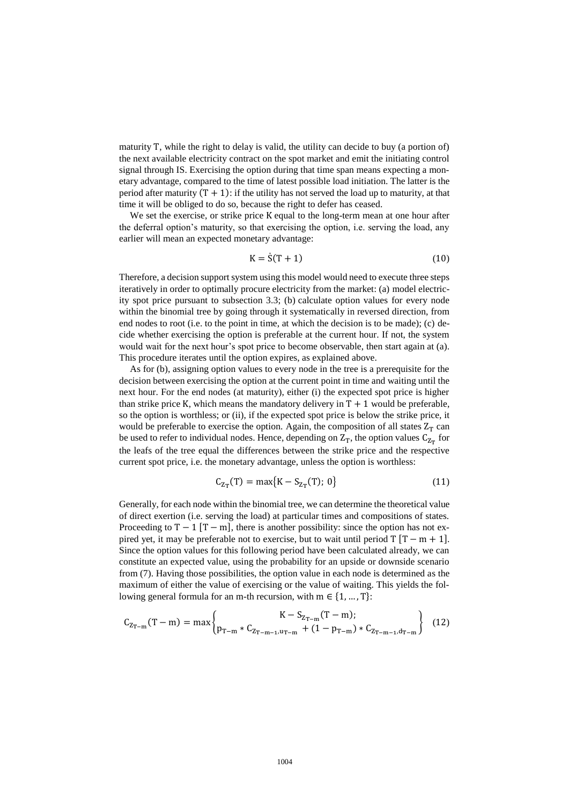maturity T, while the right to delay is valid, the utility can decide to buy (a portion of) the next available electricity contract on the spot market and emit the initiating control signal through IS. Exercising the option during that time span means expecting a monetary advantage, compared to the time of latest possible load initiation. The latter is the period after maturity  $(T + 1)$ : if the utility has not served the load up to maturity, at that time it will be obliged to do so, because the right to defer has ceased.

We set the exercise, or strike price K equal to the long-term mean at one hour after the deferral option's maturity, so that exercising the option, i.e. serving the load, any earlier will mean an expected monetary advantage:

$$
K = \dot{S}(T + 1) \tag{10}
$$

Therefore, a decision support system using this model would need to execute three steps iteratively in order to optimally procure electricity from the market: (a) model electricity spot price pursuant to subsection 3.3; (b) calculate option values for every node within the binomial tree by going through it systematically in reversed direction, from end nodes to root (i.e. to the point in time, at which the decision is to be made); (c) decide whether exercising the option is preferable at the current hour. If not, the system would wait for the next hour's spot price to become observable, then start again at (a). This procedure iterates until the option expires, as explained above.

As for (b), assigning option values to every node in the tree is a prerequisite for the decision between exercising the option at the current point in time and waiting until the next hour. For the end nodes (at maturity), either (i) the expected spot price is higher than strike price K, which means the mandatory delivery in  $T + 1$  would be preferable, so the option is worthless; or (ii), if the expected spot price is below the strike price, it would be preferable to exercise the option. Again, the composition of all states  $Z_T$  can be used to refer to individual nodes. Hence, depending on  $Z_T$ , the option values  $C_{Z_T}$  for the leafs of the tree equal the differences between the strike price and the respective current spot price, i.e. the monetary advantage, unless the option is worthless:

$$
C_{Z_T}(T) = \max\{K - S_{Z_T}(T); 0\}
$$
 (11)

Generally, for each node within the binomial tree, we can determine the theoretical value of direct exertion (i.e. serving the load) at particular times and compositions of states. Proceeding to  $T - 1$  [T – m], there is another possibility: since the option has not expired yet, it may be preferable not to exercise, but to wait until period  $T [T - m + 1]$ . Since the option values for this following period have been calculated already, we can constitute an expected value, using the probability for an upside or downside scenario from (7). Having those possibilities, the option value in each node is determined as the maximum of either the value of exercising or the value of waiting. This yields the following general formula for an m-th recursion, with  $m \in \{1, ..., T\}$ :

$$
C_{Z_{T-m}}(T-m) = \max \begin{Bmatrix} K - S_{Z_{T-m}}(T-m); \\ p_{T-m} * C_{Z_{T-m-1},u_{T-m}} + (1 - p_{T-m}) * C_{Z_{T-m-1},d_{T-m}} \end{Bmatrix} (12)
$$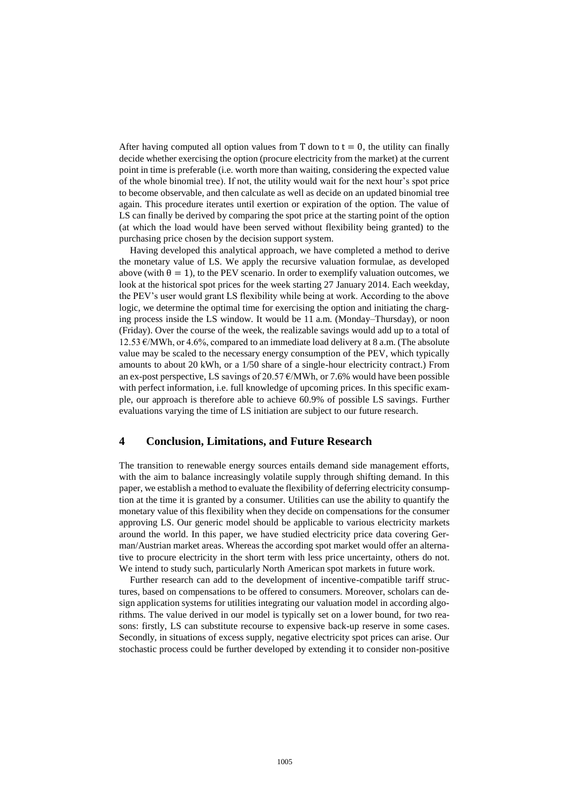After having computed all option values from T down to  $t = 0$ , the utility can finally decide whether exercising the option (procure electricity from the market) at the current point in time is preferable (i.e. worth more than waiting, considering the expected value of the whole binomial tree). If not, the utility would wait for the next hour's spot price to become observable, and then calculate as well as decide on an updated binomial tree again. This procedure iterates until exertion or expiration of the option. The value of LS can finally be derived by comparing the spot price at the starting point of the option (at which the load would have been served without flexibility being granted) to the purchasing price chosen by the decision support system.

Having developed this analytical approach, we have completed a method to derive the monetary value of LS. We apply the recursive valuation formulae, as developed above (with  $\theta = 1$ ), to the PEV scenario. In order to exemplify valuation outcomes, we look at the historical spot prices for the week starting 27 January 2014. Each weekday, the PEV's user would grant LS flexibility while being at work. According to the above logic, we determine the optimal time for exercising the option and initiating the charging process inside the LS window. It would be 11 a.m. (Monday–Thursday), or noon (Friday). Over the course of the week, the realizable savings would add up to a total of 12.53 €/MWh, or 4.6%, compared to an immediate load delivery at 8 a.m. (The absolute value may be scaled to the necessary energy consumption of the PEV, which typically amounts to about 20 kWh, or a 1/50 share of a single-hour electricity contract.) From an ex-post perspective, LS savings of 20.57  $\epsilon$ /MWh, or 7.6% would have been possible with perfect information, i.e. full knowledge of upcoming prices. In this specific example, our approach is therefore able to achieve 60.9% of possible LS savings. Further evaluations varying the time of LS initiation are subject to our future research.

## **4 Conclusion, Limitations, and Future Research**

The transition to renewable energy sources entails demand side management efforts, with the aim to balance increasingly volatile supply through shifting demand. In this paper, we establish a method to evaluate the flexibility of deferring electricity consumption at the time it is granted by a consumer. Utilities can use the ability to quantify the monetary value of this flexibility when they decide on compensations for the consumer approving LS. Our generic model should be applicable to various electricity markets around the world. In this paper, we have studied electricity price data covering German/Austrian market areas. Whereas the according spot market would offer an alternative to procure electricity in the short term with less price uncertainty, others do not. We intend to study such, particularly North American spot markets in future work.

Further research can add to the development of incentive-compatible tariff structures, based on compensations to be offered to consumers. Moreover, scholars can design application systems for utilities integrating our valuation model in according algorithms. The value derived in our model is typically set on a lower bound, for two reasons: firstly, LS can substitute recourse to expensive back-up reserve in some cases. Secondly, in situations of excess supply, negative electricity spot prices can arise. Our stochastic process could be further developed by extending it to consider non-positive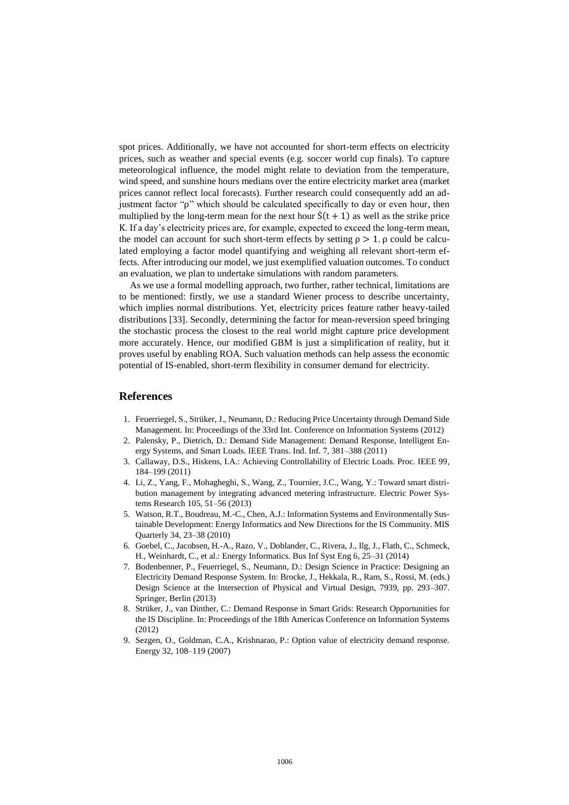spot prices. Additionally, we have not accounted for short-term effects on electricity prices, such as weather and special events (e.g. soccer world cup finals). To capture meteorological influence, the model might relate to deviation from the temperature, wind speed, and sunshine hours medians over the entire electricity market area (market prices cannot reflect local forecasts). Further research could consequently add an adjustment factor "ρ" which should be calculated specifically to day or even hour, then multiplied by the long-term mean for the next hour  $\dot{S}(t + 1)$  as well as the strike price K. If a day's electricity prices are, for example, expected to exceed the long-term mean, the model can account for such short-term effects by setting  $\rho > 1$ .  $\rho$  could be calculated employing a factor model quantifying and weighing all relevant short-term effects. After introducing our model, we just exemplified valuation outcomes. To conduct an evaluation, we plan to undertake simulations with random parameters.

As we use a formal modelling approach, two further, rather technical, limitations are to be mentioned: firstly, we use a standard Wiener process to describe uncertainty, which implies normal distributions. Yet, electricity prices feature rather heavy-tailed distributions [33]. Secondly, determining the factor for mean-reversion speed bringing the stochastic process the closest to the real world might capture price development more accurately. Hence, our modified GBM is just a simplification of reality, but it proves useful by enabling ROA. Such valuation methods can help assess the economic potential of IS-enabled, short-term flexibility in consumer demand for electricity.

#### **References**

- 1. Feuerriegel, S., Strüker, J., Neumann, D.: Reducing Price Uncertainty through Demand Side Management. In: Proceedings of the 33rd Int. Conference on Information Systems (2012)
- 2. Palensky, P., Dietrich, D.: Demand Side Management: Demand Response, Intelligent Energy Systems, and Smart Loads. IEEE Trans. Ind. Inf. 7, 381–388 (2011)
- 3. Callaway, D.S., Hiskens, I.A.: Achieving Controllability of Electric Loads. Proc. IEEE 99, 184–199 (2011)
- 4. Li, Z., Yang, F., Mohagheghi, S., Wang, Z., Tournier, J.C., Wang, Y.: Toward smart distribution management by integrating advanced metering infrastructure. Electric Power Systems Research 105, 51–56 (2013)
- 5. Watson, R.T., Boudreau, M.-C., Chen, A.J.: Information Systems and Environmentally Sustainable Development: Energy Informatics and New Directions for the IS Community. MIS Quarterly 34, 23–38 (2010)
- 6. Goebel, C., Jacobsen, H.-A., Razo, V., Doblander, C., Rivera, J., Ilg, J., Flath, C., Schmeck, H., Weinhardt, C., et al.: Energy Informatics. Bus Inf Syst Eng 6, 25–31 (2014)
- 7. Bodenbenner, P., Feuerriegel, S., Neumann, D.: Design Science in Practice: Designing an Electricity Demand Response System. In: Brocke, J., Hekkala, R., Ram, S., Rossi, M. (eds.) Design Science at the Intersection of Physical and Virtual Design, 7939, pp. 293–307. Springer, Berlin (2013)
- 8. Strüker, J., van Dinther, C.: Demand Response in Smart Grids: Research Opportunities for the IS Discipline. In: Proceedings of the 18th Americas Conference on Information Systems (2012)
- 9. Sezgen, O., Goldman, C.A., Krishnarao, P.: Option value of electricity demand response. Energy 32, 108–119 (2007)